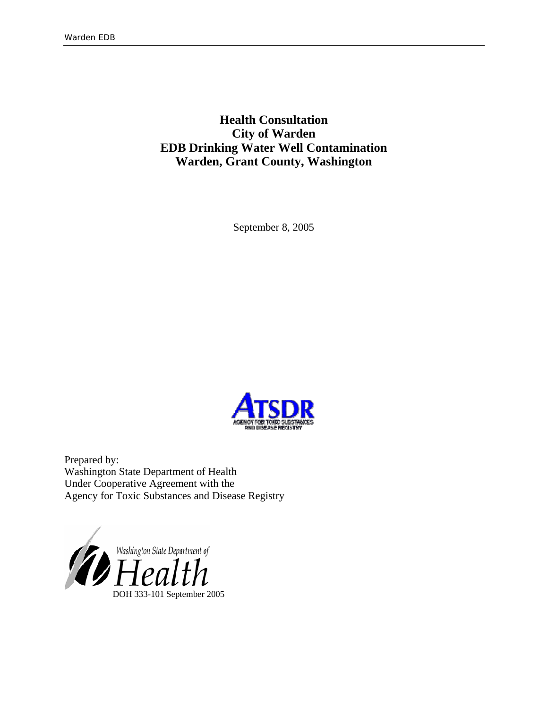**Health Consultation City of Warden EDB Drinking Water Well Contamination Warden, Grant County, Washington** 

September 8, 2005



Prepared by: Washington State Department of Health Under Cooperative Agreement with the Agency for Toxic Substances and Disease Registry

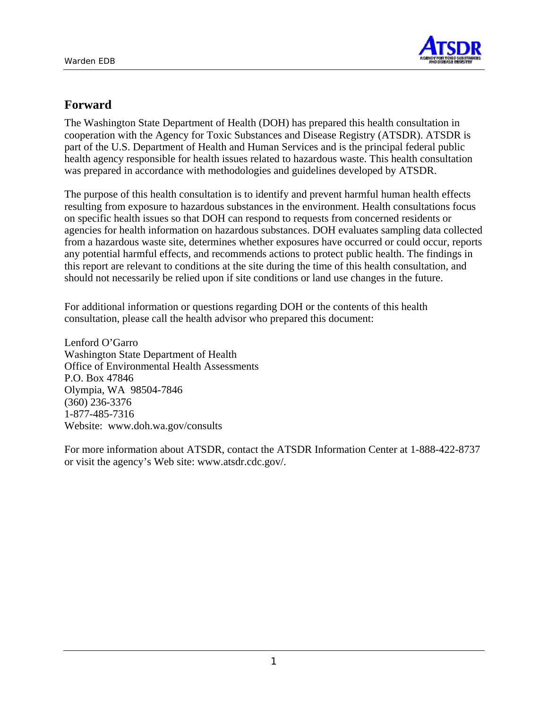

# **Forward**

The Washington State Department of Health (DOH) has prepared this health consultation in cooperation with the Agency for Toxic Substances and Disease Registry (ATSDR). ATSDR is part of the U.S. Department of Health and Human Services and is the principal federal public health agency responsible for health issues related to hazardous waste. This health consultation was prepared in accordance with methodologies and guidelines developed by ATSDR.

The purpose of this health consultation is to identify and prevent harmful human health effects resulting from exposure to hazardous substances in the environment. Health consultations focus on specific health issues so that DOH can respond to requests from concerned residents or agencies for health information on hazardous substances. DOH evaluates sampling data collected from a hazardous waste site, determines whether exposures have occurred or could occur, reports any potential harmful effects, and recommends actions to protect public health. The findings in this report are relevant to conditions at the site during the time of this health consultation, and should not necessarily be relied upon if site conditions or land use changes in the future.

For additional information or questions regarding DOH or the contents of this health consultation, please call the health advisor who prepared this document:

Lenford O'Garro Washington State Department of Health Office of Environmental Health Assessments P.O. Box 47846 Olympia, WA 98504-7846 (360) 236-3376 1-877-485-7316 Website: [www.doh.wa.gov/consults](http://www.doh.wa.gov/consults)

For more information about ATSDR, contact the ATSDR Information Center at 1-888-422-8737 or visit the agency's Web site: www.atsdr.cdc.gov/.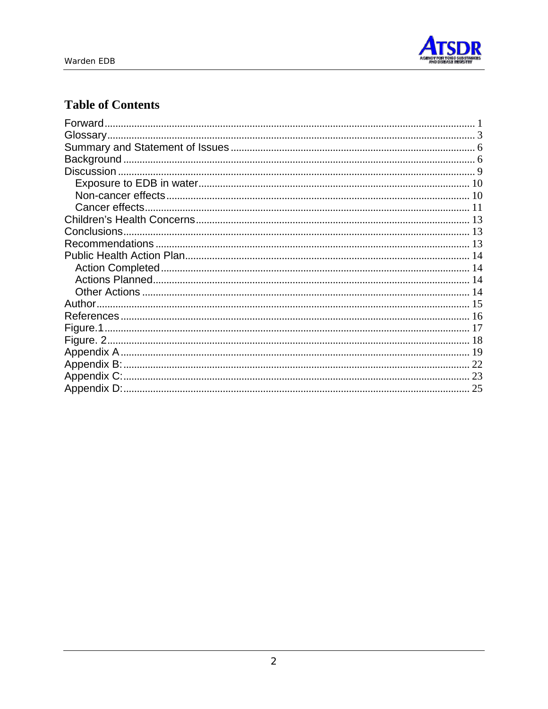

# **Table of Contents**

| Forward. |  |
|----------|--|
|          |  |
|          |  |
|          |  |
|          |  |
|          |  |
|          |  |
|          |  |
|          |  |
|          |  |
|          |  |
|          |  |
|          |  |
|          |  |
|          |  |
|          |  |
|          |  |
|          |  |
|          |  |
|          |  |
|          |  |
|          |  |
|          |  |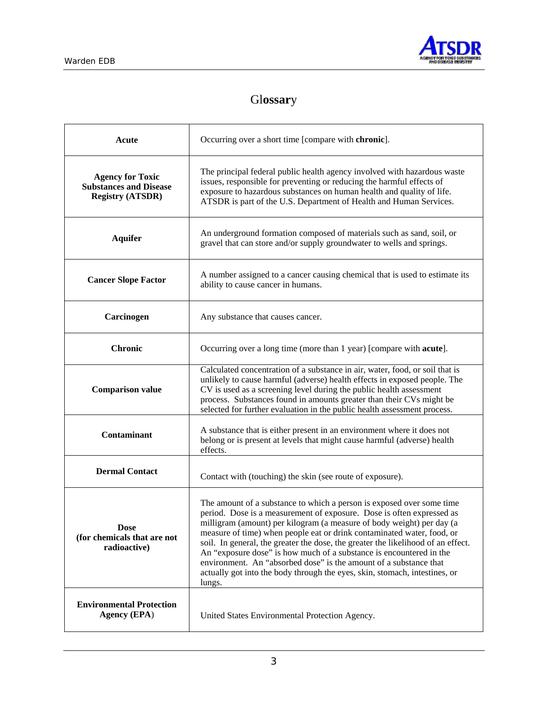

# Gl**ossar**y

| Acute                                                                               | Occurring over a short time [compare with chronic].                                                                                                                                                                                                                                                                                                                                                                                                                                                                                                                                                                       |
|-------------------------------------------------------------------------------------|---------------------------------------------------------------------------------------------------------------------------------------------------------------------------------------------------------------------------------------------------------------------------------------------------------------------------------------------------------------------------------------------------------------------------------------------------------------------------------------------------------------------------------------------------------------------------------------------------------------------------|
| <b>Agency for Toxic</b><br><b>Substances and Disease</b><br><b>Registry (ATSDR)</b> | The principal federal public health agency involved with hazardous waste<br>issues, responsible for preventing or reducing the harmful effects of<br>exposure to hazardous substances on human health and quality of life.<br>ATSDR is part of the U.S. Department of Health and Human Services.                                                                                                                                                                                                                                                                                                                          |
| <b>Aquifer</b>                                                                      | An underground formation composed of materials such as sand, soil, or<br>gravel that can store and/or supply groundwater to wells and springs.                                                                                                                                                                                                                                                                                                                                                                                                                                                                            |
| <b>Cancer Slope Factor</b>                                                          | A number assigned to a cancer causing chemical that is used to estimate its<br>ability to cause cancer in humans.                                                                                                                                                                                                                                                                                                                                                                                                                                                                                                         |
| Carcinogen                                                                          | Any substance that causes cancer.                                                                                                                                                                                                                                                                                                                                                                                                                                                                                                                                                                                         |
| <b>Chronic</b>                                                                      | Occurring over a long time (more than 1 year) [compare with <b>acute</b> ].                                                                                                                                                                                                                                                                                                                                                                                                                                                                                                                                               |
| <b>Comparison value</b>                                                             | Calculated concentration of a substance in air, water, food, or soil that is<br>unlikely to cause harmful (adverse) health effects in exposed people. The<br>CV is used as a screening level during the public health assessment<br>process. Substances found in amounts greater than their CVs might be<br>selected for further evaluation in the public health assessment process.                                                                                                                                                                                                                                      |
| Contaminant                                                                         | A substance that is either present in an environment where it does not<br>belong or is present at levels that might cause harmful (adverse) health<br>effects.                                                                                                                                                                                                                                                                                                                                                                                                                                                            |
| <b>Dermal Contact</b>                                                               | Contact with (touching) the skin (see route of exposure).                                                                                                                                                                                                                                                                                                                                                                                                                                                                                                                                                                 |
| Dose<br>(for chemicals that are not<br>radioactive)                                 | The amount of a substance to which a person is exposed over some time<br>period. Dose is a measurement of exposure. Dose is often expressed as<br>milligram (amount) per kilogram (a measure of body weight) per day (a<br>measure of time) when people eat or drink contaminated water, food, or<br>soil. In general, the greater the dose, the greater the likelihood of an effect.<br>An "exposure dose" is how much of a substance is encountered in the<br>environment. An "absorbed dose" is the amount of a substance that<br>actually got into the body through the eyes, skin, stomach, intestines, or<br>lungs. |
| <b>Environmental Protection</b><br><b>Agency (EPA)</b>                              | United States Environmental Protection Agency.                                                                                                                                                                                                                                                                                                                                                                                                                                                                                                                                                                            |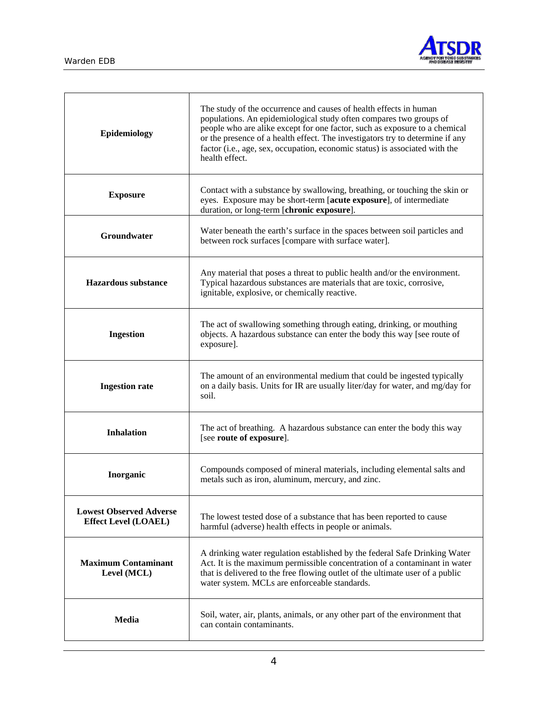

| Epidemiology                                                  | The study of the occurrence and causes of health effects in human<br>populations. An epidemiological study often compares two groups of<br>people who are alike except for one factor, such as exposure to a chemical<br>or the presence of a health effect. The investigators try to determine if any<br>factor (i.e., age, sex, occupation, economic status) is associated with the<br>health effect. |
|---------------------------------------------------------------|---------------------------------------------------------------------------------------------------------------------------------------------------------------------------------------------------------------------------------------------------------------------------------------------------------------------------------------------------------------------------------------------------------|
| <b>Exposure</b>                                               | Contact with a substance by swallowing, breathing, or touching the skin or<br>eyes. Exposure may be short-term [acute exposure], of intermediate<br>duration, or long-term [chronic exposure].                                                                                                                                                                                                          |
| Groundwater                                                   | Water beneath the earth's surface in the spaces between soil particles and<br>between rock surfaces [compare with surface water].                                                                                                                                                                                                                                                                       |
| <b>Hazardous substance</b>                                    | Any material that poses a threat to public health and/or the environment.<br>Typical hazardous substances are materials that are toxic, corrosive,<br>ignitable, explosive, or chemically reactive.                                                                                                                                                                                                     |
| <b>Ingestion</b>                                              | The act of swallowing something through eating, drinking, or mouthing<br>objects. A hazardous substance can enter the body this way [see route of<br>exposure].                                                                                                                                                                                                                                         |
| <b>Ingestion rate</b>                                         | The amount of an environmental medium that could be ingested typically<br>on a daily basis. Units for IR are usually liter/day for water, and mg/day for<br>soil.                                                                                                                                                                                                                                       |
| <b>Inhalation</b>                                             | The act of breathing. A hazardous substance can enter the body this way<br>[see route of exposure].                                                                                                                                                                                                                                                                                                     |
| Inorganic                                                     | Compounds composed of mineral materials, including elemental salts and<br>metals such as iron, aluminum, mercury, and zinc.                                                                                                                                                                                                                                                                             |
| <b>Lowest Observed Adverse</b><br><b>Effect Level (LOAEL)</b> | The lowest tested dose of a substance that has been reported to cause<br>harmful (adverse) health effects in people or animals.                                                                                                                                                                                                                                                                         |
| <b>Maximum Contaminant</b><br>Level (MCL)                     | A drinking water regulation established by the federal Safe Drinking Water<br>Act. It is the maximum permissible concentration of a contaminant in water<br>that is delivered to the free flowing outlet of the ultimate user of a public<br>water system. MCLs are enforceable standards.                                                                                                              |
| Media                                                         | Soil, water, air, plants, animals, or any other part of the environment that<br>can contain contaminants.                                                                                                                                                                                                                                                                                               |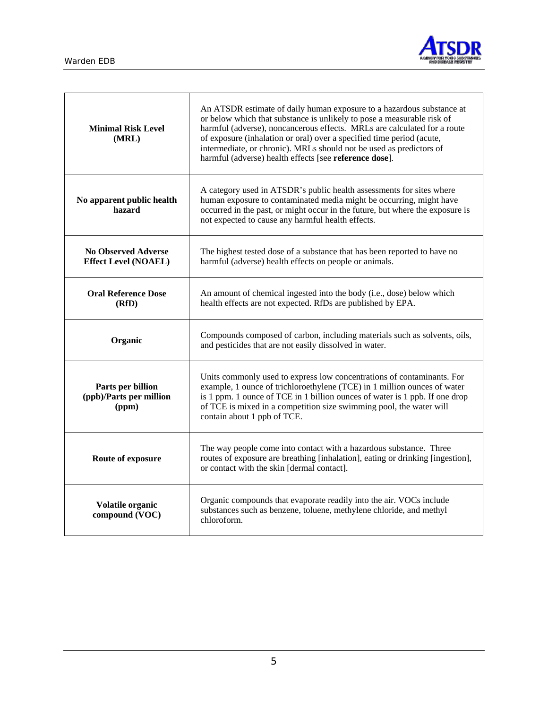

| <b>Minimal Risk Level</b><br>(MRL)                        | An ATSDR estimate of daily human exposure to a hazardous substance at<br>or below which that substance is unlikely to pose a measurable risk of<br>harmful (adverse), noncancerous effects. MRLs are calculated for a route<br>of exposure (inhalation or oral) over a specified time period (acute,<br>intermediate, or chronic). MRLs should not be used as predictors of<br>harmful (adverse) health effects [see reference dose]. |
|-----------------------------------------------------------|---------------------------------------------------------------------------------------------------------------------------------------------------------------------------------------------------------------------------------------------------------------------------------------------------------------------------------------------------------------------------------------------------------------------------------------|
| No apparent public health<br>hazard                       | A category used in ATSDR's public health assessments for sites where<br>human exposure to contaminated media might be occurring, might have<br>occurred in the past, or might occur in the future, but where the exposure is<br>not expected to cause any harmful health effects.                                                                                                                                                     |
| <b>No Observed Adverse</b><br><b>Effect Level (NOAEL)</b> | The highest tested dose of a substance that has been reported to have no<br>harmful (adverse) health effects on people or animals.                                                                                                                                                                                                                                                                                                    |
| <b>Oral Reference Dose</b><br>(RfD)                       | An amount of chemical ingested into the body (i.e., dose) below which<br>health effects are not expected. RfDs are published by EPA.                                                                                                                                                                                                                                                                                                  |
| Organic                                                   | Compounds composed of carbon, including materials such as solvents, oils,<br>and pesticides that are not easily dissolved in water.                                                                                                                                                                                                                                                                                                   |
| Parts per billion<br>(ppb)/Parts per million<br>(ppm)     | Units commonly used to express low concentrations of contaminants. For<br>example, 1 ounce of trichloroethylene (TCE) in 1 million ounces of water<br>is 1 ppm. 1 ounce of TCE in 1 billion ounces of water is 1 ppb. If one drop<br>of TCE is mixed in a competition size swimming pool, the water will<br>contain about 1 ppb of TCE.                                                                                               |
| Route of exposure                                         | The way people come into contact with a hazardous substance. Three<br>routes of exposure are breathing [inhalation], eating or drinking [ingestion],<br>or contact with the skin [dermal contact].                                                                                                                                                                                                                                    |
| Volatile organic<br>compound (VOC)                        | Organic compounds that evaporate readily into the air. VOCs include<br>substances such as benzene, toluene, methylene chloride, and methyl<br>chloroform.                                                                                                                                                                                                                                                                             |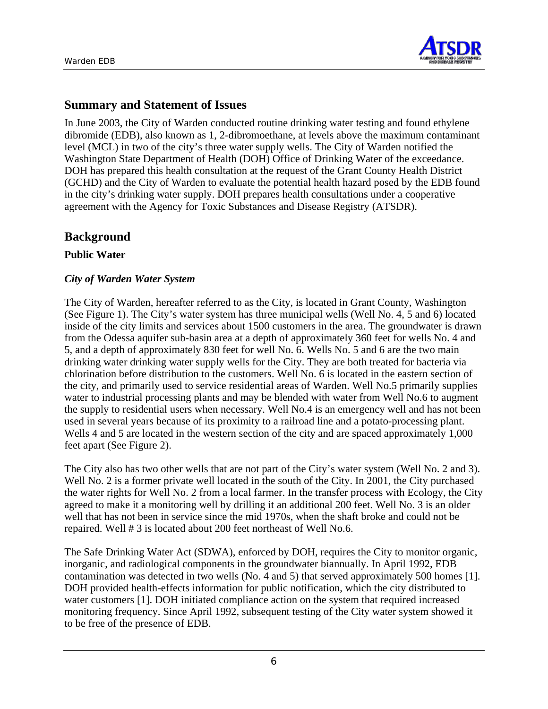

## **Summary and Statement of Issues**

In June 2003, the City of Warden conducted routine drinking water testing and found ethylene dibromide (EDB), also known as 1, 2-dibromoethane, at levels above the maximum contaminant level (MCL) in two of the city's three water supply wells. The City of Warden notified the Washington State Department of Health (DOH) Office of Drinking Water of the exceedance. DOH has prepared this health consultation at the request of the Grant County Health District (GCHD) and the City of Warden to evaluate the potential health hazard posed by the EDB found in the city's drinking water supply. DOH prepares health consultations under a cooperative agreement with the Agency for Toxic Substances and Disease Registry (ATSDR).

## **Background**

#### **Public Water**

### *City of Warden Water System*

The City of Warden, hereafter referred to as the City, is located in Grant County, Washington (See Figure 1). The City's water system has three municipal wells (Well No. 4, 5 and 6) located inside of the city limits and services about 1500 customers in the area. The groundwater is drawn from the Odessa aquifer sub-basin area at a depth of approximately 360 feet for wells No. 4 and 5, and a depth of approximately 830 feet for well No. 6. Wells No. 5 and 6 are the two main drinking water drinking water supply wells for the City. They are both treated for bacteria via chlorination before distribution to the customers. Well No. 6 is located in the eastern section of the city, and primarily used to service residential areas of Warden. Well No.5 primarily supplies water to industrial processing plants and may be blended with water from Well No.6 to augment the supply to residential users when necessary. Well No.4 is an emergency well and has not been used in several years because of its proximity to a railroad line and a potato-processing plant. Wells 4 and 5 are located in the western section of the city and are spaced approximately 1,000 feet apart (See Figure 2).

The City also has two other wells that are not part of the City's water system (Well No. 2 and 3). Well No. 2 is a former private well located in the south of the City. In 2001, the City purchased the water rights for Well No. 2 from a local farmer. In the transfer process with Ecology, the City agreed to make it a monitoring well by drilling it an additional 200 feet. Well No. 3 is an older well that has not been in service since the mid 1970s, when the shaft broke and could not be repaired. Well # 3 is located about 200 feet northeast of Well No.6.

The Safe Drinking Water Act (SDWA), enforced by DOH, requires the City to monitor organic, inorganic, and radiological components in the groundwater biannually. In April 1992, EDB contamination was detected in two wells (No. 4 and 5) that served approximately 500 homes [1]. DOH provided health-effects information for public notification, which the city distributed to water customers [1]. DOH initiated compliance action on the system that required increased monitoring frequency. Since April 1992, subsequent testing of the City water system showed it to be free of the presence of EDB.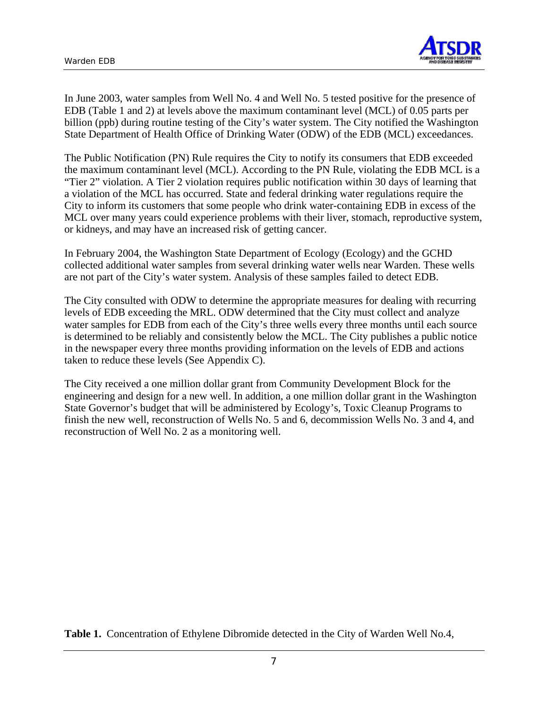

In June 2003, water samples from Well No. 4 and Well No. 5 tested positive for the presence of EDB (Table 1 and 2) at levels above the maximum contaminant level (MCL) of 0.05 parts per billion (ppb) during routine testing of the City's water system. The City notified the Washington State Department of Health Office of Drinking Water (ODW) of the EDB (MCL) exceedances.

The Public Notification (PN) Rule requires the City to notify its consumers that EDB exceeded the maximum contaminant level (MCL). According to the PN Rule, violating the EDB MCL is a "Tier 2" violation. A Tier 2 violation requires public notification within 30 days of learning that a violation of the MCL has occurred. State and federal drinking water regulations require the City to inform its customers that some people who drink water-containing EDB in excess of the MCL over many years could experience problems with their liver, stomach, reproductive system, or kidneys, and may have an increased risk of getting cancer.

In February 2004, the Washington State Department of Ecology (Ecology) and the GCHD collected additional water samples from several drinking water wells near Warden. These wells are not part of the City's water system. Analysis of these samples failed to detect EDB.

The City consulted with ODW to determine the appropriate measures for dealing with recurring levels of EDB exceeding the MRL. ODW determined that the City must collect and analyze water samples for EDB from each of the City's three wells every three months until each source is determined to be reliably and consistently below the MCL. The City publishes a public notice in the newspaper every three months providing information on the levels of EDB and actions taken to reduce these levels (See Appendix C).

The City received a one million dollar grant from Community Development Block for the engineering and design for a new well. In addition, a one million dollar grant in the Washington State Governor's budget that will be administered by Ecology's, Toxic Cleanup Programs to finish the new well, reconstruction of Wells No. 5 and 6, decommission Wells No. 3 and 4, and reconstruction of Well No. 2 as a monitoring well.

**Table 1.** Concentration of Ethylene Dibromide detected in the City of Warden Well No.4,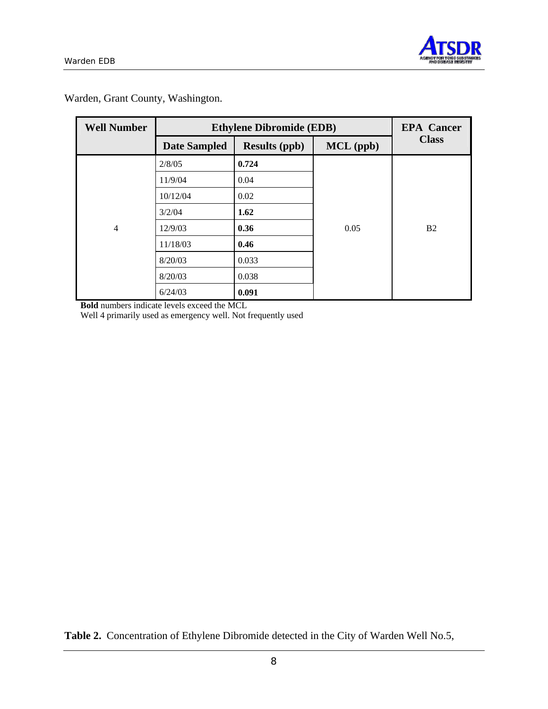

| <b>Well Number</b> | <b>Ethylene Dibromide (EDB)</b> | <b>EPA</b> Cancer    |             |                |
|--------------------|---------------------------------|----------------------|-------------|----------------|
|                    | <b>Date Sampled</b>             | <b>Results (ppb)</b> | $MCL$ (ppb) | <b>Class</b>   |
|                    | 2/8/05                          | 0.724                |             |                |
|                    | 11/9/04                         | 0.04                 |             |                |
|                    | 10/12/04                        | 0.02                 |             |                |
|                    | 3/2/04                          | 1.62                 |             |                |
| 4                  | 12/9/03                         | 0.36                 | 0.05        | B <sub>2</sub> |
|                    | 11/18/03                        | 0.46                 |             |                |
|                    | 8/20/03                         | 0.033                |             |                |
|                    | 8/20/03                         | 0.038                |             |                |
|                    | 6/24/03                         | 0.091                |             |                |

Warden, Grant County, Washington.

**Bold** numbers indicate levels exceed the MCL

Well 4 primarily used as emergency well. Not frequently used

**Table 2.** Concentration of Ethylene Dibromide detected in the City of Warden Well No.5,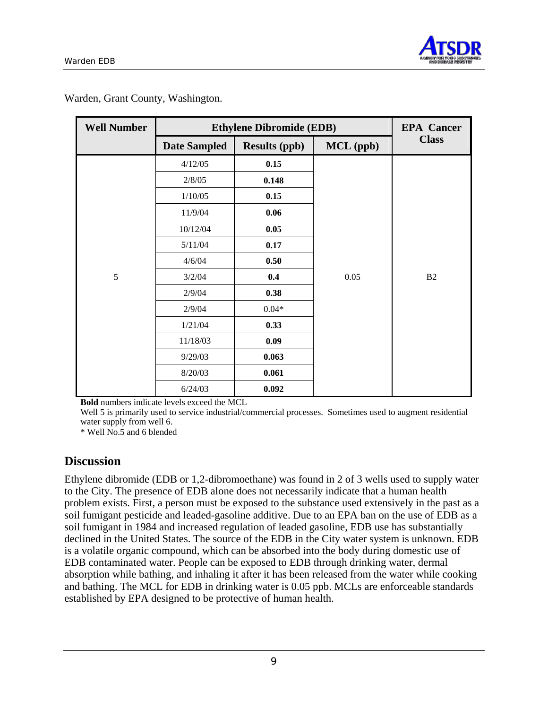

| <b>Well Number</b> | <b>Ethylene Dibromide (EDB)</b> | <b>EPA</b> Cancer    |           |              |
|--------------------|---------------------------------|----------------------|-----------|--------------|
|                    | <b>Date Sampled</b>             | <b>Results (ppb)</b> | MCL (ppb) | <b>Class</b> |
|                    | 4/12/05                         | 0.15                 |           |              |
|                    | 2/8/05                          | 0.148                |           |              |
|                    | 1/10/05                         | 0.15                 |           |              |
|                    | 11/9/04                         | 0.06                 |           |              |
|                    | 10/12/04                        | 0.05                 |           |              |
|                    | 5/11/04                         | 0.17                 |           |              |
|                    | 4/6/04                          | 0.50                 |           |              |
| 5                  | 3/2/04                          | 0.4                  | 0.05      | B2           |
|                    | 2/9/04                          | 0.38                 |           |              |
|                    | 2/9/04                          | $0.04*$              |           |              |
|                    | 1/21/04                         | 0.33                 |           |              |
|                    | 11/18/03                        | 0.09                 |           |              |
|                    | 9/29/03                         | 0.063                |           |              |
|                    | 8/20/03                         | 0.061                |           |              |
|                    | 6/24/03                         | 0.092                |           |              |

Warden, Grant County, Washington.

**Bold** numbers indicate levels exceed the MCL

Well 5 is primarily used to service industrial/commercial processes. Sometimes used to augment residential water supply from well 6.

\* Well No.5 and 6 blended

## **Discussion**

Ethylene dibromide (EDB or 1,2-dibromoethane) was found in 2 of 3 wells used to supply water to the City. The presence of EDB alone does not necessarily indicate that a human health problem exists. First, a person must be exposed to the substance used extensively in the past as a soil fumigant pesticide and leaded-gasoline additive. Due to an EPA ban on the use of EDB as a soil fumigant in 1984 and increased regulation of leaded gasoline, EDB use has substantially declined in the United States. The source of the EDB in the City water system is unknown. EDB is a volatile organic compound, which can be absorbed into the body during domestic use of EDB contaminated water. People can be exposed to EDB through drinking water, dermal absorption while bathing, and inhaling it after it has been released from the water while cooking and bathing. The MCL for EDB in drinking water is 0.05 ppb. MCLs are enforceable standards established by EPA designed to be protective of human health.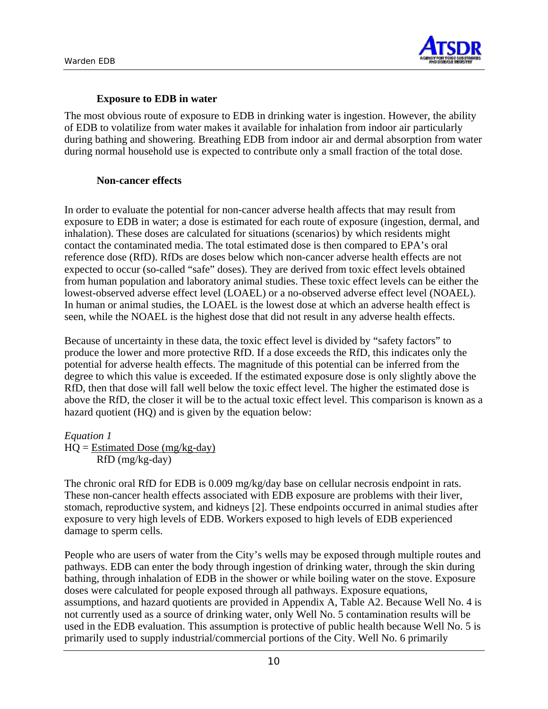

### **Exposure to EDB in water**

The most obvious route of exposure to EDB in drinking water is ingestion. However, the ability of EDB to volatilize from water makes it available for inhalation from indoor air particularly during bathing and showering. Breathing EDB from indoor air and dermal absorption from water during normal household use is expected to contribute only a small fraction of the total dose.

#### **Non-cancer effects**

In order to evaluate the potential for non-cancer adverse health affects that may result from exposure to EDB in water; a dose is estimated for each route of exposure (ingestion, dermal, and inhalation). These doses are calculated for situations (scenarios) by which residents might contact the contaminated media. The total estimated dose is then compared to EPA's oral reference dose (RfD). RfDs are doses below which non-cancer adverse health effects are not expected to occur (so-called "safe" doses). They are derived from toxic effect levels obtained from human population and laboratory animal studies. These toxic effect levels can be either the lowest-observed adverse effect level (LOAEL) or a no-observed adverse effect level (NOAEL). In human or animal studies, the LOAEL is the lowest dose at which an adverse health effect is seen, while the NOAEL is the highest dose that did not result in any adverse health effects.

Because of uncertainty in these data, the toxic effect level is divided by "safety factors" to produce the lower and more protective RfD. If a dose exceeds the RfD, this indicates only the potential for adverse health effects. The magnitude of this potential can be inferred from the degree to which this value is exceeded. If the estimated exposure dose is only slightly above the RfD, then that dose will fall well below the toxic effect level. The higher the estimated dose is above the RfD, the closer it will be to the actual toxic effect level. This comparison is known as a hazard quotient (HQ) and is given by the equation below:

*Equation 1* 

 $HQ = Estimated Does (mg/kg-day)$ RfD (mg/kg-day)

The chronic oral RfD for EDB is 0.009 mg/kg/day base on cellular necrosis endpoint in rats. These non-cancer health effects associated with EDB exposure are problems with their liver, stomach, reproductive system, and kidneys [2]. These endpoints occurred in animal studies after exposure to very high levels of EDB. Workers exposed to high levels of EDB experienced damage to sperm cells.

People who are users of water from the City's wells may be exposed through multiple routes and pathways. EDB can enter the body through ingestion of drinking water, through the skin during bathing, through inhalation of EDB in the shower or while boiling water on the stove. Exposure doses were calculated for people exposed through all pathways. Exposure equations, assumptions, and hazard quotients are provided in Appendix A, Table A2. Because Well No. 4 is not currently used as a source of drinking water, only Well No. 5 contamination results will be used in the EDB evaluation. This assumption is protective of public health because Well No. 5 is primarily used to supply industrial/commercial portions of the City. Well No. 6 primarily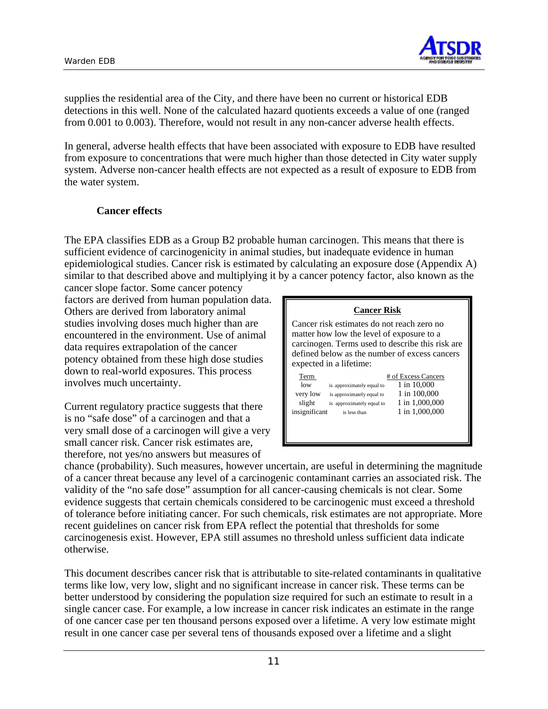

supplies the residential area of the City, and there have been no current or historical EDB detections in this well. None of the calculated hazard quotients exceeds a value of one (ranged from 0.001 to 0.003). Therefore, would not result in any non-cancer adverse health effects.

In general, adverse health effects that have been associated with exposure to EDB have resulted from exposure to concentrations that were much higher than those detected in City water supply system. Adverse non-cancer health effects are not expected as a result of exposure to EDB from the water system.

#### **Cancer effects**

The EPA classifies EDB as a Group B2 probable human carcinogen. This means that there is sufficient evidence of carcinogenicity in animal studies, but inadequate evidence in human epidemiological studies. Cancer risk is estimated by calculating an exposure dose (Appendix A) similar to that described above and multiplying it by a cancer potency factor, also known as the

cancer slope factor. Some cancer potency factors are derived from human population data. Others are derived from laboratory animal studies involving doses much higher than are encountered in the environment. Use of animal data requires extrapolation of the cancer potency obtained from these high dose studies down to real-world exposures. This process involves much uncertainty.

Current regulatory practice suggests that there is no "safe dose" of a carcinogen and that a very small dose of a carcinogen will give a very small cancer risk. Cancer risk estimates are, therefore, not yes/no answers but measures of

|                                                                                                                                                                                                                         | <b>Cancer Risk</b>        |                     |  |  |  |  |  |  |
|-------------------------------------------------------------------------------------------------------------------------------------------------------------------------------------------------------------------------|---------------------------|---------------------|--|--|--|--|--|--|
| Cancer risk estimates do not reach zero no<br>matter how low the level of exposure to a<br>carcinogen. Terms used to describe this risk are<br>defined below as the number of excess cancers<br>expected in a lifetime: |                           |                     |  |  |  |  |  |  |
| Term                                                                                                                                                                                                                    |                           | # of Excess Cancers |  |  |  |  |  |  |
| low                                                                                                                                                                                                                     |                           | 1 in 10,000         |  |  |  |  |  |  |
|                                                                                                                                                                                                                         | is approximately equal to |                     |  |  |  |  |  |  |
| very low                                                                                                                                                                                                                | is approximately equal to | 1 in 100,000        |  |  |  |  |  |  |
| slight                                                                                                                                                                                                                  | is approximately equal to | 1 in 1,000,000      |  |  |  |  |  |  |
| insignificant                                                                                                                                                                                                           | is less than              | 1 in 1,000,000      |  |  |  |  |  |  |
|                                                                                                                                                                                                                         |                           |                     |  |  |  |  |  |  |
|                                                                                                                                                                                                                         |                           |                     |  |  |  |  |  |  |
|                                                                                                                                                                                                                         |                           |                     |  |  |  |  |  |  |

chance (probability). Such measures, however uncertain, are useful in determining the magnitude of a cancer threat because any level of a carcinogenic contaminant carries an associated risk. The validity of the "no safe dose" assumption for all cancer-causing chemicals is not clear. Some evidence suggests that certain chemicals considered to be carcinogenic must exceed a threshold of tolerance before initiating cancer. For such chemicals, risk estimates are not appropriate. More recent guidelines on cancer risk from EPA reflect the potential that thresholds for some carcinogenesis exist. However, EPA still assumes no threshold unless sufficient data indicate otherwise.

This document describes cancer risk that is attributable to site-related contaminants in qualitative terms like low, very low, slight and no significant increase in cancer risk. These terms can be better understood by considering the population size required for such an estimate to result in a single cancer case. For example, a low increase in cancer risk indicates an estimate in the range of one cancer case per ten thousand persons exposed over a lifetime. A very low estimate might result in one cancer case per several tens of thousands exposed over a lifetime and a slight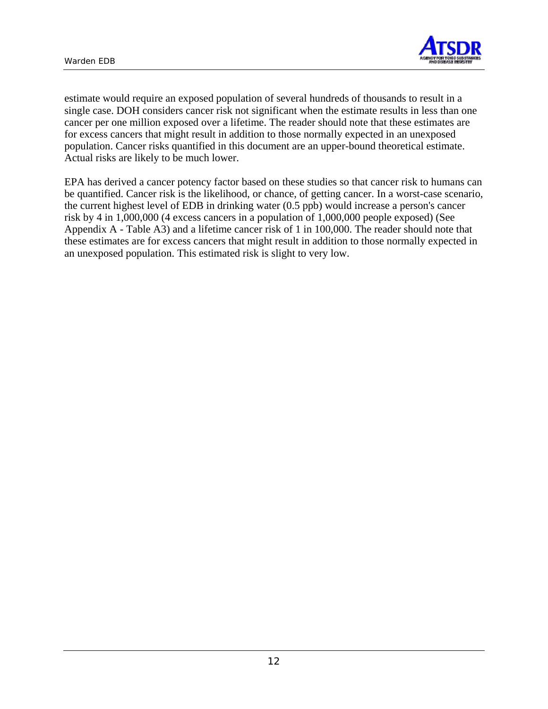

estimate would require an exposed population of several hundreds of thousands to result in a single case. DOH considers cancer risk not significant when the estimate results in less than one cancer per one million exposed over a lifetime. The reader should note that these estimates are for excess cancers that might result in addition to those normally expected in an unexposed population. Cancer risks quantified in this document are an upper-bound theoretical estimate. Actual risks are likely to be much lower.

EPA has derived a cancer potency factor based on these studies so that cancer risk to humans can be quantified. Cancer risk is the likelihood, or chance, of getting cancer. In a worst-case scenario, the current highest level of EDB in drinking water (0.5 ppb) would increase a person's cancer risk by 4 in 1,000,000 (4 excess cancers in a population of 1,000,000 people exposed) (See Appendix A - Table A3) and a lifetime cancer risk of 1 in 100,000. The reader should note that these estimates are for excess cancers that might result in addition to those normally expected in an unexposed population. This estimated risk is slight to very low.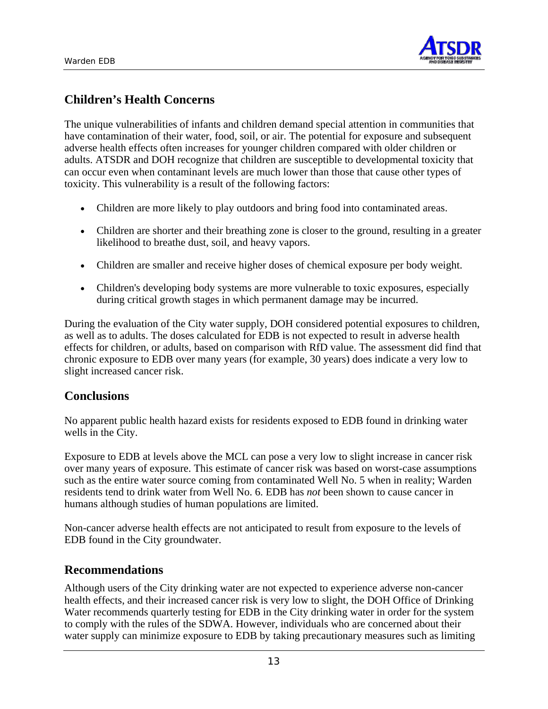

# **Children's Health Concerns**

The unique vulnerabilities of infants and children demand special attention in communities that have contamination of their water, food, soil, or air. The potential for exposure and subsequent adverse health effects often increases for younger children compared with older children or adults. ATSDR and DOH recognize that children are susceptible to developmental toxicity that can occur even when contaminant levels are much lower than those that cause other types of toxicity. This vulnerability is a result of the following factors:

- Children are more likely to play outdoors and bring food into contaminated areas.
- Children are shorter and their breathing zone is closer to the ground, resulting in a greater likelihood to breathe dust, soil, and heavy vapors.
- Children are smaller and receive higher doses of chemical exposure per body weight.
- Children's developing body systems are more vulnerable to toxic exposures, especially during critical growth stages in which permanent damage may be incurred.

During the evaluation of the City water supply, DOH considered potential exposures to children, as well as to adults. The doses calculated for EDB is not expected to result in adverse health effects for children, or adults, based on comparison with RfD value. The assessment did find that chronic exposure to EDB over many years (for example, 30 years) does indicate a very low to slight increased cancer risk.

## **Conclusions**

No apparent public health hazard exists for residents exposed to EDB found in drinking water wells in the City.

Exposure to EDB at levels above the MCL can pose a very low to slight increase in cancer risk over many years of exposure. This estimate of cancer risk was based on worst-case assumptions such as the entire water source coming from contaminated Well No. 5 when in reality; Warden residents tend to drink water from Well No. 6. EDB has *not* been shown to cause cancer in humans although studies of human populations are limited.

Non-cancer adverse health effects are not anticipated to result from exposure to the levels of EDB found in the City groundwater.

## **Recommendations**

Although users of the City drinking water are not expected to experience adverse non-cancer health effects, and their increased cancer risk is very low to slight, the DOH Office of Drinking Water recommends quarterly testing for EDB in the City drinking water in order for the system to comply with the rules of the SDWA. However, individuals who are concerned about their water supply can minimize exposure to EDB by taking precautionary measures such as limiting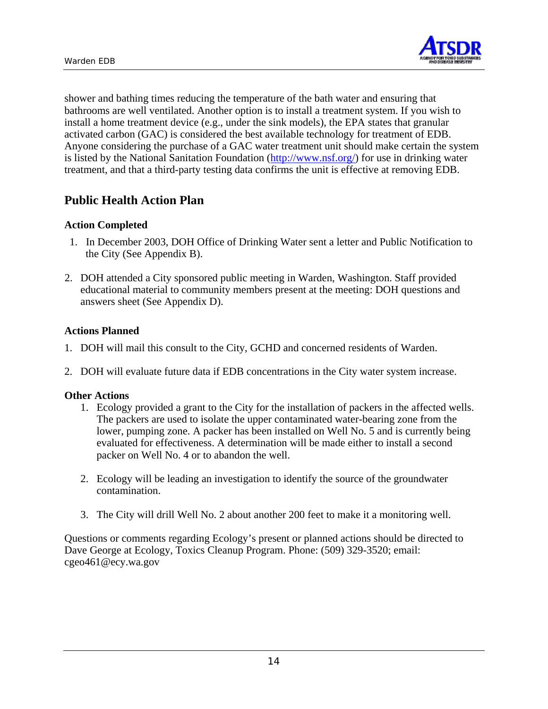

shower and bathing times reducing the temperature of the bath water and ensuring that bathrooms are well ventilated. Another option is to install a treatment system. If you wish to install a home treatment device (e.g., under the sink models), the EPA states that granular activated carbon (GAC) is considered the best available technology for treatment of EDB. Anyone considering the purchase of a GAC water treatment unit should make certain the system is listed by the National Sanitation Foundation (http://www.nsf.org/) for use in drinking water treatment, and that a third-party testing data confirms the unit is effective at removing EDB.

## **Public Health Action Plan**

#### **Action Completed**

- 1. In December 2003, DOH Office of Drinking Water sent a letter and Public Notification to the City (See Appendix B).
- 2. DOH attended a City sponsored public meeting in Warden, Washington. Staff provided educational material to community members present at the meeting: DOH questions and answers sheet (See Appendix D).

#### **Actions Planned**

- 1. DOH will mail this consult to the City, GCHD and concerned residents of Warden.
- 2. DOH will evaluate future data if EDB concentrations in the City water system increase.

#### **Other Actions**

- 1. Ecology provided a grant to the City for the installation of packers in the affected wells. The packers are used to isolate the upper contaminated water-bearing zone from the lower, pumping zone. A packer has been installed on Well No. 5 and is currently being evaluated for effectiveness. A determination will be made either to install a second packer on Well No. 4 or to abandon the well.
- 2. Ecology will be leading an investigation to identify the source of the groundwater contamination.
- 3. The City will drill Well No. 2 about another 200 feet to make it a monitoring well.

Questions or comments regarding Ecology's present or planned actions should be directed to Dave George at Ecology, Toxics Cleanup Program. Phone: (509) 329-3520; email: cgeo461@ecy.wa.gov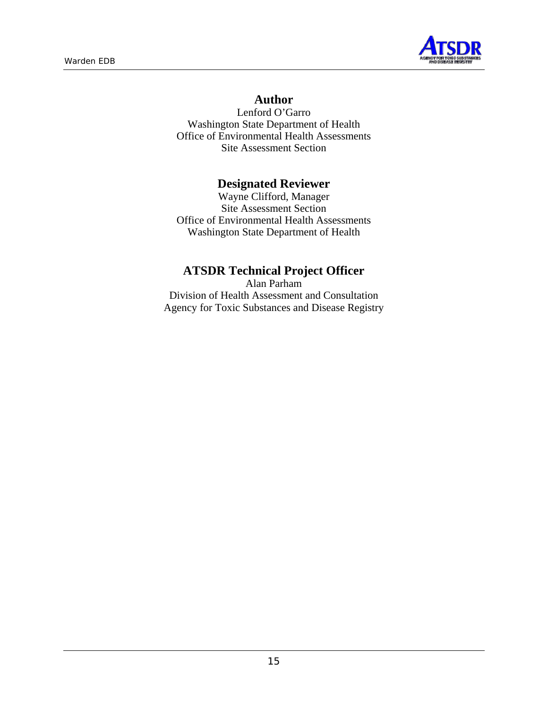

## **Author**

Lenford O'Garro Washington State Department of Health Office of Environmental Health Assessments Site Assessment Section

## **Designated Reviewer**

Wayne Clifford, Manager Site Assessment Section Office of Environmental Health Assessments Washington State Department of Health

## **ATSDR Technical Project Officer**

Alan Parham Division of Health Assessment and Consultation Agency for Toxic Substances and Disease Registry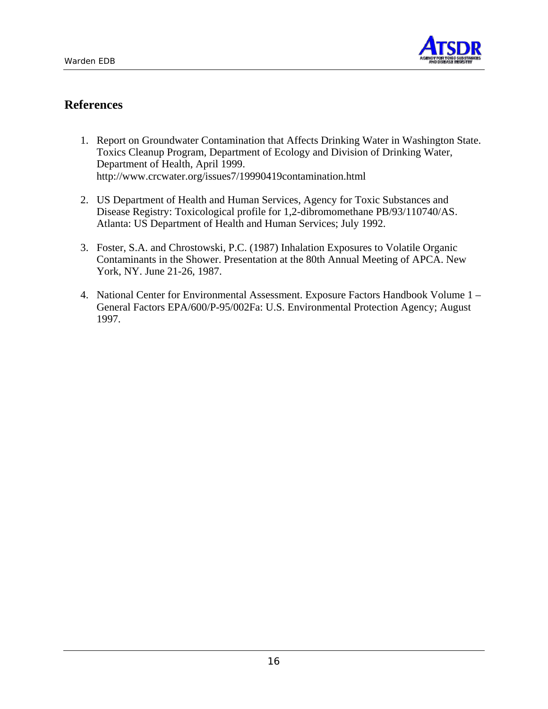

## **References**

- 1. Report on Groundwater Contamination that Affects Drinking Water in Washington State. Toxics Cleanup Program, Department of Ecology and Division of Drinking Water, Department of Health, April 1999. http://www.crcwater.org/issues7/19990419contamination.html
- 2. US Department of Health and Human Services, Agency for Toxic Substances and Disease Registry: Toxicological profile for 1,2-dibromomethane PB/93/110740/AS. Atlanta: US Department of Health and Human Services; July 1992.
- 3. Foster, S.A. and Chrostowski, P.C. (1987) Inhalation Exposures to Volatile Organic Contaminants in the Shower. Presentation at the 80th Annual Meeting of APCA. New York, NY. June 21-26, 1987.
- 4. National Center for Environmental Assessment. Exposure Factors Handbook Volume 1 General Factors EPA/600/P-95/002Fa: U.S. Environmental Protection Agency; August 1997.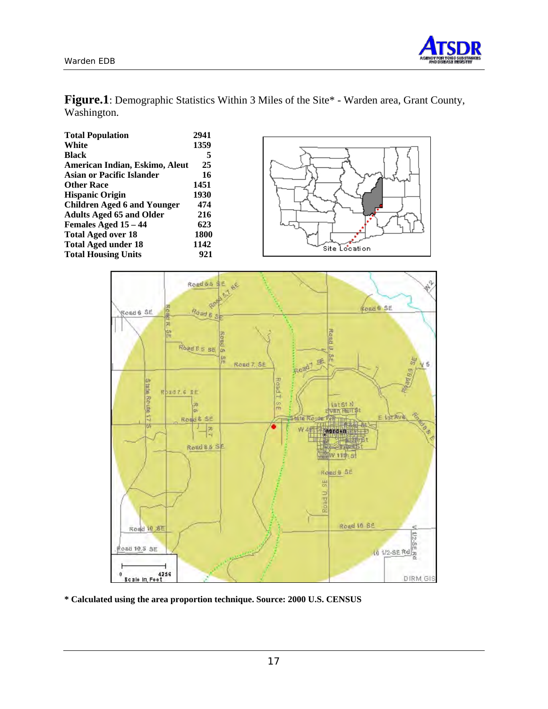

**Figure.1**: Demographic Statistics Within 3 Miles of the Site\* - Warden area, Grant County, Washington.

| <b>Total Population</b>            | 2941 |               |
|------------------------------------|------|---------------|
| White                              | 1359 |               |
| <b>Black</b>                       |      |               |
| American Indian, Eskimo, Aleut     | 25   |               |
| <b>Asian or Pacific Islander</b>   | 16   |               |
| <b>Other Race</b>                  | 1451 |               |
| <b>Hispanic Origin</b>             | 1930 |               |
| <b>Children Aged 6 and Younger</b> | 474  |               |
| <b>Adults Aged 65 and Older</b>    | 216  |               |
| Females Aged 15 - 44               | 623  |               |
| <b>Total Aged over 18</b>          | 1800 |               |
| <b>Total Aged under 18</b>         | 1142 | Site Location |
| <b>Total Housing Units</b>         | 921  |               |
|                                    |      |               |



**\* Calculated using the area proportion technique. Source: 2000 U.S. CENSUS**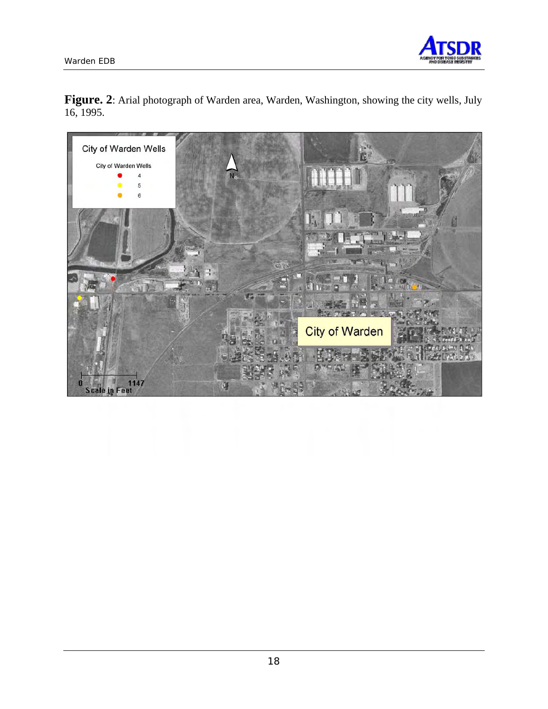

Figure. 2: Arial photograph of Warden area, Warden, Washington, showing the city wells, July 16, 1995.

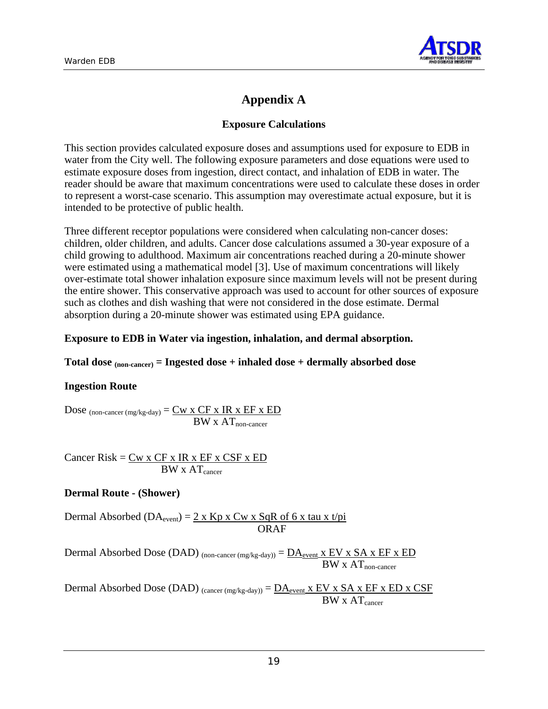

# **Appendix A**

### **Exposure Calculations**

This section provides calculated exposure doses and assumptions used for exposure to EDB in water from the City well. The following exposure parameters and dose equations were used to estimate exposure doses from ingestion, direct contact, and inhalation of EDB in water. The reader should be aware that maximum concentrations were used to calculate these doses in order to represent a worst-case scenario. This assumption may overestimate actual exposure, but it is intended to be protective of public health.

Three different receptor populations were considered when calculating non-cancer doses: children, older children, and adults. Cancer dose calculations assumed a 30-year exposure of a child growing to adulthood. Maximum air concentrations reached during a 20-minute shower were estimated using a mathematical model [3]. Use of maximum concentrations will likely over-estimate total shower inhalation exposure since maximum levels will not be present during the entire shower. This conservative approach was used to account for other sources of exposure such as clothes and dish washing that were not considered in the dose estimate. Dermal absorption during a 20-minute shower was estimated using EPA guidance.

#### **Exposure to EDB in Water via ingestion, inhalation, and dermal absorption.**

#### **Total dose (non-cancer) = Ingested dose + inhaled dose + dermally absorbed dose**

#### **Ingestion Route**

Dose  $_{(non\text{-cancer (mg/kg-day})} = \underline{Cw \times CF \times IR \times EF \times ED}$  $BW \times AT_{non-cancer}$ 

Cancer Risk =  $Cw x CF x IR x EF x CSF x ED$  $BW \times AT_{\text{cancer}}$ 

#### **Dermal Route - (Shower)**

Dermal Absorbed (DA<sub>event</sub>) =  $2 \times$  Kp x Cw x SqR of 6 x tau x t/pi ORAF

Dermal Absorbed Dose (DAD) (non-cancer (mg/kg-day)) =  $\overline{DA}_{event}$  x EV x SA x EF x ED  $BW \times AT_{non-cancer}$ 

Dermal Absorbed Dose (DAD)  $_{(cancer(mg/kg-day))} = D A_{event} x EV x SA x EF x ED x CSF$  $BW \times AT_{\text{cancer}}$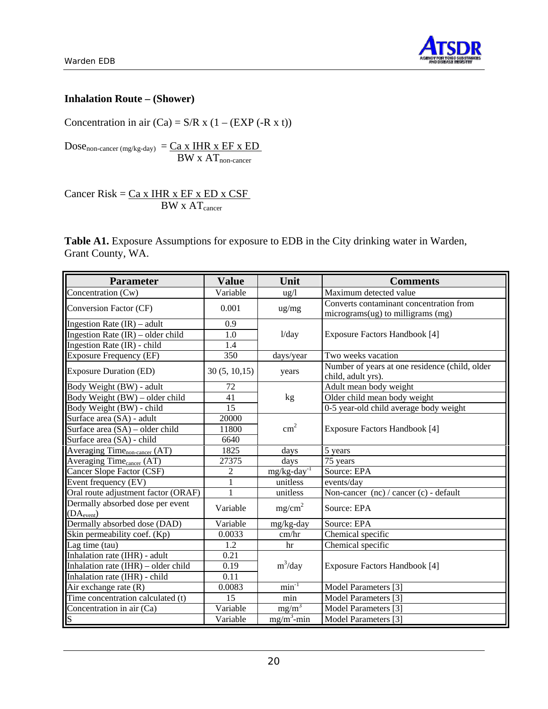



## **Inhalation Route – (Shower)**

Concentration in air  $(Ca) = S/R \times (1 - (EXP (-R \times t))$ 

 $Dose_{non-cancer (mg/kg-day)} = \underline{Ca \times HHR \times EF \times ED}$  $BW$  x  $AT$ <sub>non-cancer</sub>

Cancer Risk =  $Ca x IHR x EF x ED x CSF$ </u>  $BW \times AT_{cancer}$ 

**Table A1.** Exposure Assumptions for exposure to EDB in the City drinking water in Warden, Grant County, WA.

| <b>Parameter</b>                                           | <b>Value</b>  | Unit                       | <b>Comments</b>                                                              |
|------------------------------------------------------------|---------------|----------------------------|------------------------------------------------------------------------------|
| Concentration (Cw)                                         | Variable      | $\frac{u g}{l}$            | Maximum detected value                                                       |
| Conversion Factor (CF)                                     | 0.001         | ug/mg                      | Converts contaminant concentration from<br>micrograms(ug) to milligrams (mg) |
| Ingestion Rate $(IR)$ – adult                              | 0.9           |                            |                                                                              |
| Ingestion Rate $(IR)$ – older child                        | 1.0           | 1/day                      | Exposure Factors Handbook [4]                                                |
| Ingestion Rate (IR) - child                                | 1.4           |                            |                                                                              |
| <b>Exposure Frequency (EF)</b>                             | 350           | days/year                  | Two weeks vacation                                                           |
| <b>Exposure Duration (ED)</b>                              | 30(5, 10, 15) | years                      | Number of years at one residence (child, older<br>child, adult yrs).         |
| Body Weight (BW) - adult                                   | 72            |                            | Adult mean body weight                                                       |
| Body Weight (BW) – older child                             | 41            | kg                         | Older child mean body weight                                                 |
| Body Weight (BW) - child                                   | 15            |                            | 0-5 year-old child average body weight                                       |
| Surface area (SA) - adult                                  | 20000         |                            |                                                                              |
| Surface area (SA) – older child                            | 11800         | $\text{cm}^2$              | Exposure Factors Handbook [4]                                                |
| Surface area (SA) - child                                  | 6640          |                            |                                                                              |
| Averaging Time <sub>non-cancer</sub> (AT)                  | 1825          | days                       | 5 years                                                                      |
| Averaging Time <sub>cancer</sub> (AT)                      | 27375         | days                       | 75 years                                                                     |
| Cancer Slope Factor (CSF)                                  | 2             | $mg/kg$ -day <sup>-1</sup> | Source: EPA                                                                  |
| Event frequency (EV)                                       | $\mathbf{1}$  | unitless                   | events/day                                                                   |
| Oral route adjustment factor (ORAF)                        | $\mathbf{1}$  | unitless                   | Non-cancer (nc) / cancer (c) - default                                       |
| Dermally absorbed dose per event<br>(DA <sub>event</sub> ) | Variable      | mg/cm <sup>2</sup>         | Source: EPA                                                                  |
| Dermally absorbed dose (DAD)                               | Variable      | mg/kg-day                  | Source: EPA                                                                  |
| Skin permeability coef. (Kp)                               | 0.0033        | cm/hr                      | Chemical specific                                                            |
| Lag time (tau)                                             | 1.2           | hr                         | Chemical specific                                                            |
| Inhalation rate (IHR) - adult                              | 0.21          |                            |                                                                              |
| Inhalation rate (IHR) - older child                        | 0.19          | $m^3$ /day                 | Exposure Factors Handbook [4]                                                |
| Inhalation rate (IHR) - child                              | 0.11          |                            |                                                                              |
| Air exchange rate $(R)$                                    | 0.0083        | $min^{-1}$                 | Model Parameters [3]                                                         |
| Time concentration calculated (t)                          | 15            | min                        | Model Parameters [3]                                                         |
| Concentration in air (Ca)                                  | Variable      | $mg/m^3$                   | Model Parameters [3]                                                         |
| S                                                          | Variable      | $mg/m^3$ -min              | Model Parameters [3]                                                         |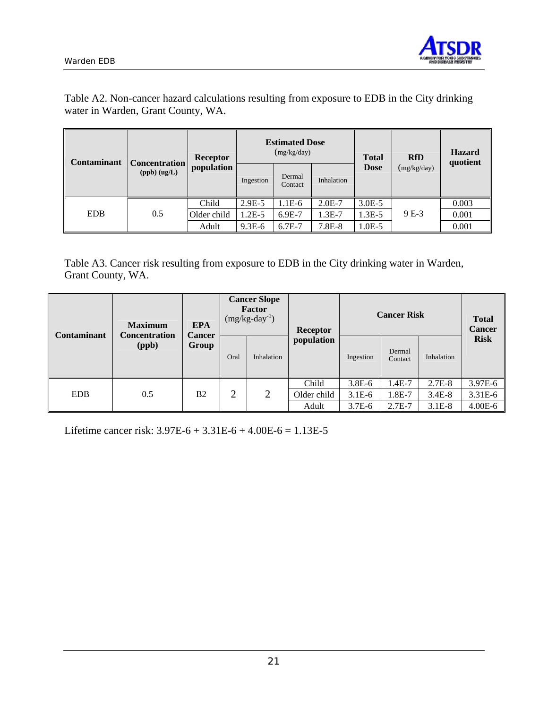



Table A2. Non-cancer hazard calculations resulting from exposure to EDB in the City drinking water in Warden, Grant County, WA.

| Contaminant | <b>Concentration</b> | Receptor    |           | (mg/kg/day)       | <b>Estimated Dose</b> |             | <b>RfD</b>  | <b>Hazard</b><br>quotient |
|-------------|----------------------|-------------|-----------|-------------------|-----------------------|-------------|-------------|---------------------------|
|             | $(ppb)$ $(ug/L)$     | population  | Ingestion | Dermal<br>Contact | Inhalation            | <b>Dose</b> | (mg/kg/day) |                           |
|             |                      | Child       | $2.9E-5$  | $1.1E-6$          | $2.0E-7$              | $3.0E - 5$  |             | 0.003                     |
| <b>EDB</b>  | 0.5                  | Older child | $1.2E-5$  | $6.9E-7$          | $1.3E-7$              | $1.3E-5$    | 9 E-3       | 0.001                     |
|             |                      | Adult       | $9.3E-6$  | $6.7E-7$          | 7.8E-8                | $1.0E-5$    |             | 0.001                     |

Table A3. Cancer risk resulting from exposure to EDB in the City drinking water in Warden, Grant County, WA.

| <b>Contaminant</b> | <b>Maximum</b><br><b>Concentration</b> | <b>EPA</b><br><b>Cancer</b> | <b>Cancer Slope</b><br>Factor<br>$(mg/kg-day^{-1})$ |            |             |           |                   |            |             |  |  |  | <b>Receptor</b> | <b>Cancer Risk</b> | <b>Total</b><br><b>Cancer</b> |
|--------------------|----------------------------------------|-----------------------------|-----------------------------------------------------|------------|-------------|-----------|-------------------|------------|-------------|--|--|--|-----------------|--------------------|-------------------------------|
|                    | (ppb)                                  | Group                       | Oral                                                | Inhalation | population  | Ingestion | Dermal<br>Contact | Inhalation | <b>Risk</b> |  |  |  |                 |                    |                               |
|                    |                                        |                             |                                                     |            | Child       | $3.8E-6$  | 1.4E-7            | $2.7E-8$   | 3.97E-6     |  |  |  |                 |                    |                               |
| <b>EDB</b>         | 0.5                                    | B <sub>2</sub>              | $\overline{2}$                                      | 2          | Older child | $3.1E-6$  | 1.8E-7            | $3.4E-8$   | $3.31E-6$   |  |  |  |                 |                    |                               |
|                    |                                        |                             |                                                     |            | Adult       | $3.7E-6$  | $2.7E-7$          | $3.1E-8$   | $4.00E - 6$ |  |  |  |                 |                    |                               |

Lifetime cancer risk:  $3.97E-6 + 3.31E-6 + 4.00E-6 = 1.13E-5$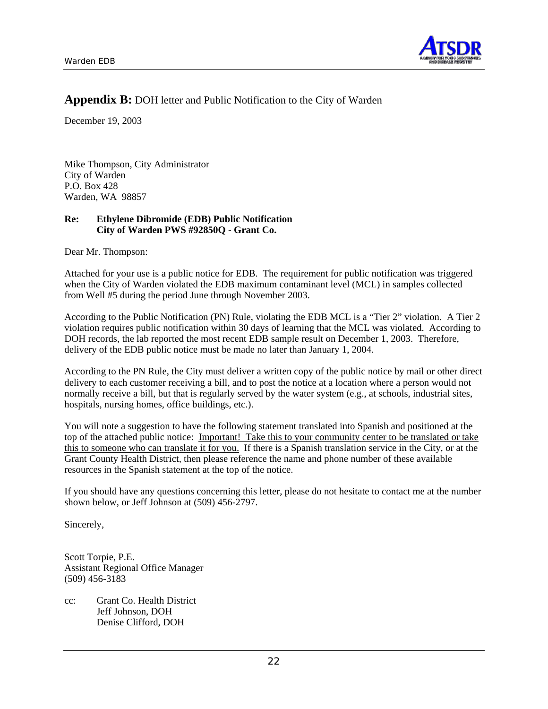

## **Appendix B:** DOH letter and Public Notification to the City of Warden

December 19, 2003

Mike Thompson, City Administrator City of Warden P.O. Box 428 Warden, WA 98857

#### **Re: Ethylene Dibromide (EDB) Public Notification City of Warden PWS #92850Q - Grant Co.**

Dear Mr. Thompson:

Attached for your use is a public notice for EDB. The requirement for public notification was triggered when the City of Warden violated the EDB maximum contaminant level (MCL) in samples collected from Well #5 during the period June through November 2003.

According to the Public Notification (PN) Rule, violating the EDB MCL is a "Tier 2" violation. A Tier 2 violation requires public notification within 30 days of learning that the MCL was violated. According to DOH records, the lab reported the most recent EDB sample result on December 1, 2003. Therefore, delivery of the EDB public notice must be made no later than January 1, 2004.

According to the PN Rule, the City must deliver a written copy of the public notice by mail or other direct delivery to each customer receiving a bill, and to post the notice at a location where a person would not normally receive a bill, but that is regularly served by the water system (e.g., at schools, industrial sites, hospitals, nursing homes, office buildings, etc.).

You will note a suggestion to have the following statement translated into Spanish and positioned at the top of the attached public notice: Important! Take this to your community center to be translated or take this to someone who can translate it for you. If there is a Spanish translation service in the City, or at the Grant County Health District, then please reference the name and phone number of these available resources in the Spanish statement at the top of the notice.

If you should have any questions concerning this letter, please do not hesitate to contact me at the number shown below, or Jeff Johnson at (509) 456-2797.

Sincerely,

Scott Torpie, P.E. Assistant Regional Office Manager (509) 456-3183

cc: Grant Co. Health District Jeff Johnson, DOH Denise Clifford, DOH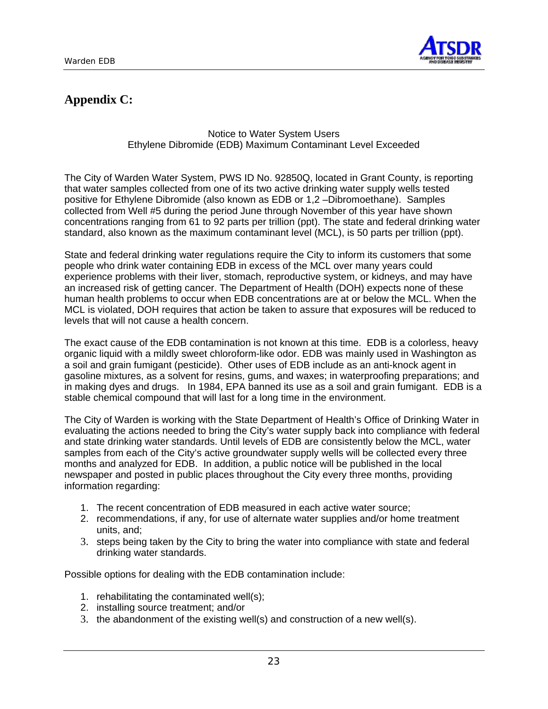

# **Appendix C:**

#### Notice to Water System Users Ethylene Dibromide (EDB) Maximum Contaminant Level Exceeded

The City of Warden Water System, PWS ID No. 92850Q, located in Grant County, is reporting that water samples collected from one of its two active drinking water supply wells tested positive for Ethylene Dibromide (also known as EDB or 1,2 –Dibromoethane). Samples collected from Well #5 during the period June through November of this year have shown concentrations ranging from 61 to 92 parts per trillion (ppt). The state and federal drinking water standard, also known as the maximum contaminant level (MCL), is 50 parts per trillion (ppt).

State and federal drinking water regulations require the City to inform its customers that some people who drink water containing EDB in excess of the MCL over many years could experience problems with their liver, stomach, reproductive system, or kidneys, and may have an increased risk of getting cancer. The Department of Health (DOH) expects none of these human health problems to occur when EDB concentrations are at or below the MCL. When the MCL is violated, DOH requires that action be taken to assure that exposures will be reduced to levels that will not cause a health concern.

The exact cause of the EDB contamination is not known at this time. EDB is a colorless, heavy organic liquid with a mildly sweet chloroform-like odor. EDB was mainly used in Washington as a soil and grain fumigant (pesticide). Other uses of EDB include as an anti-knock agent in gasoline mixtures, as a solvent for resins, gums, and waxes; in waterproofing preparations; and in making dyes and drugs. In 1984, EPA banned its use as a soil and grain fumigant. EDB is a stable chemical compound that will last for a long time in the environment.

The City of Warden is working with the State Department of Health's Office of Drinking Water in evaluating the actions needed to bring the City's water supply back into compliance with federal and state drinking water standards. Until levels of EDB are consistently below the MCL, water samples from each of the City's active groundwater supply wells will be collected every three months and analyzed for EDB. In addition, a public notice will be published in the local newspaper and posted in public places throughout the City every three months, providing information regarding:

- 1. The recent concentration of EDB measured in each active water source;
- 2. recommendations, if any, for use of alternate water supplies and/or home treatment units, and;
- 3. steps being taken by the City to bring the water into compliance with state and federal drinking water standards.

Possible options for dealing with the EDB contamination include:

- 1. rehabilitating the contaminated well(s);
- 2. installing source treatment; and/or
- 3. the abandonment of the existing well(s) and construction of a new well(s).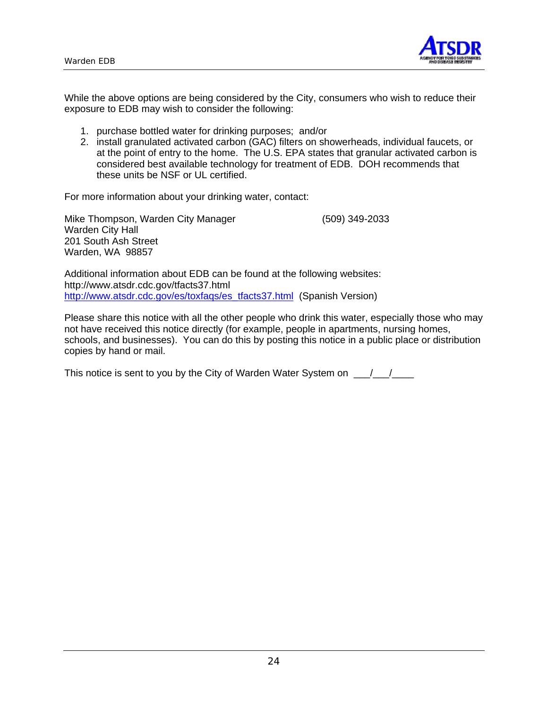

While the above options are being considered by the City, consumers who wish to reduce their exposure to EDB may wish to consider the following:

- 1. purchase bottled water for drinking purposes; and/or
- 2. install granulated activated carbon (GAC) filters on showerheads, individual faucets, or at the point of entry to the home. The U.S. EPA states that granular activated carbon is considered best available technology for treatment of EDB. DOH recommends that these units be NSF or UL certified.

For more information about your drinking water, contact:

Mike Thompson, Warden City Manager (509) 349-2033 Warden City Hall 201 South Ash Street Warden, WA 98857

Additional information about EDB can be found at the following websites: http://www.atsdr.cdc.gov/tfacts37.html http://www.atsdr.cdc.gov/es/toxfaqs/es\_tfacts37.html (Spanish Version)

Please share this notice with all the other people who drink this water, especially those who may not have received this notice directly (for example, people in apartments, nursing homes, schools, and businesses). You can do this by posting this notice in a public place or distribution copies by hand or mail.

This notice is sent to you by the City of Warden Water System on  $\underline{\hspace{1cm}}$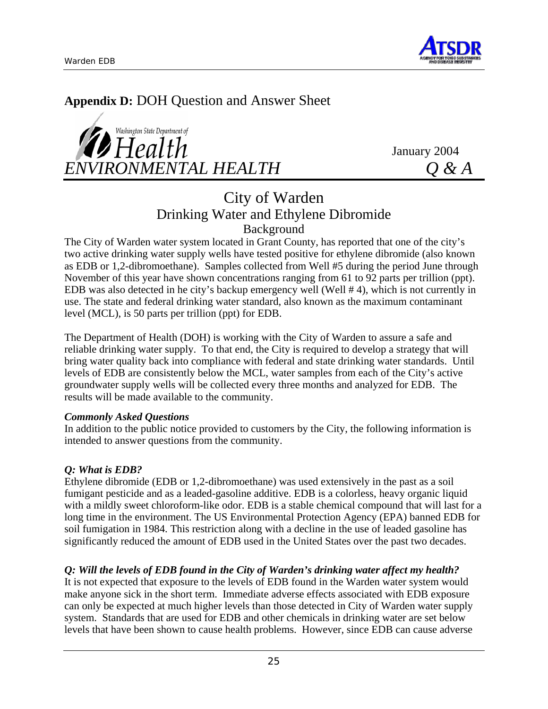

# **Appendix D:** DOH Question and Answer Sheet

Washington State Department of  $H$ ealth January 2004 *ENVIRONMENTAL HEALTH Q & A* 

# City of Warden Drinking Water and Ethylene Dibromide Background

The City of Warden water system located in Grant County, has reported that one of the city's two active drinking water supply wells have tested positive for ethylene dibromide (also known as EDB or 1,2-dibromoethane). Samples collected from Well #5 during the period June through November of this year have shown concentrations ranging from 61 to 92 parts per trillion (ppt). EDB was also detected in he city's backup emergency well (Well # 4), which is not currently in use. The state and federal drinking water standard, also known as the maximum contaminant level (MCL), is 50 parts per trillion (ppt) for EDB.

The Department of Health (DOH) is working with the City of Warden to assure a safe and reliable drinking water supply. To that end, the City is required to develop a strategy that will bring water quality back into compliance with federal and state drinking water standards. Until levels of EDB are consistently below the MCL, water samples from each of the City's active groundwater supply wells will be collected every three months and analyzed for EDB. The results will be made available to the community.

#### *Commonly Asked Questions*

In addition to the public notice provided to customers by the City, the following information is intended to answer questions from the community.

### *Q: What is EDB?*

Ethylene dibromide (EDB or 1,2-dibromoethane) was used extensively in the past as a soil fumigant pesticide and as a leaded-gasoline additive. EDB is a colorless, heavy organic liquid with a mildly sweet chloroform-like odor. EDB is a stable chemical compound that will last for a long time in the environment. The US Environmental Protection Agency (EPA) banned EDB for soil fumigation in 1984. This restriction along with a decline in the use of leaded gasoline has significantly reduced the amount of EDB used in the United States over the past two decades.

## *Q: Will the levels of EDB found in the City of Warden's drinking water affect my health?*

It is not expected that exposure to the levels of EDB found in the Warden water system would make anyone sick in the short term. Immediate adverse effects associated with EDB exposure can only be expected at much higher levels than those detected in City of Warden water supply system. Standards that are used for EDB and other chemicals in drinking water are set below levels that have been shown to cause health problems. However, since EDB can cause adverse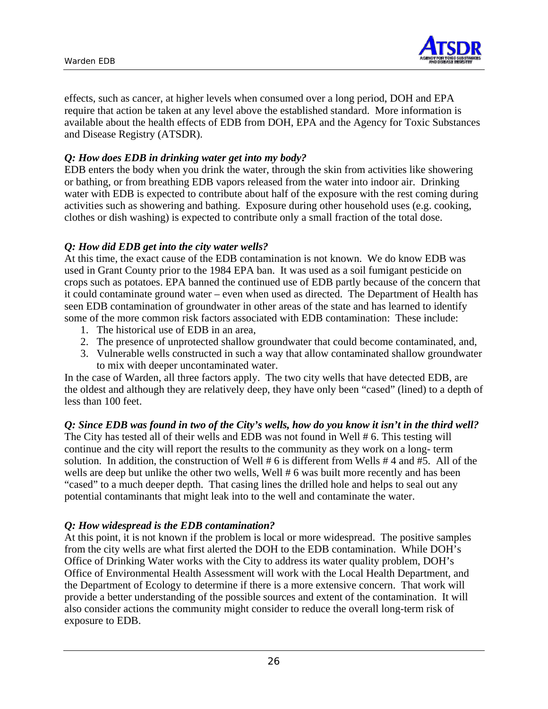

effects, such as cancer, at higher levels when consumed over a long period, DOH and EPA require that action be taken at any level above the established standard. More information is available about the health effects of EDB from DOH, EPA and the Agency for Toxic Substances and Disease Registry (ATSDR).

### *Q: How does EDB in drinking water get into my body?*

EDB enters the body when you drink the water, through the skin from activities like showering or bathing, or from breathing EDB vapors released from the water into indoor air. Drinking water with EDB is expected to contribute about half of the exposure with the rest coming during activities such as showering and bathing. Exposure during other household uses (e.g. cooking, clothes or dish washing) is expected to contribute only a small fraction of the total dose.

#### *Q: How did EDB get into the city water wells?*

At this time, the exact cause of the EDB contamination is not known. We do know EDB was used in Grant County prior to the 1984 EPA ban. It was used as a soil fumigant pesticide on crops such as potatoes. EPA banned the continued use of EDB partly because of the concern that it could contaminate ground water – even when used as directed. The Department of Health has seen EDB contamination of groundwater in other areas of the state and has learned to identify some of the more common risk factors associated with EDB contamination: These include:

- 1. The historical use of EDB in an area,
- 2. The presence of unprotected shallow groundwater that could become contaminated, and,
- 3. Vulnerable wells constructed in such a way that allow contaminated shallow groundwater to mix with deeper uncontaminated water.

In the case of Warden, all three factors apply. The two city wells that have detected EDB, are the oldest and although they are relatively deep, they have only been "cased" (lined) to a depth of less than 100 feet.

#### *Q: Since EDB was found in two of the City's wells, how do you know it isn't in the third well?*

The City has tested all of their wells and EDB was not found in Well # 6. This testing will continue and the city will report the results to the community as they work on a long- term solution. In addition, the construction of Well # 6 is different from Wells # 4 and #5. All of the wells are deep but unlike the other two wells, Well # 6 was built more recently and has been "cased" to a much deeper depth. That casing lines the drilled hole and helps to seal out any potential contaminants that might leak into to the well and contaminate the water.

#### *Q: How widespread is the EDB contamination?*

At this point, it is not known if the problem is local or more widespread. The positive samples from the city wells are what first alerted the DOH to the EDB contamination. While DOH's Office of Drinking Water works with the City to address its water quality problem, DOH's Office of Environmental Health Assessment will work with the Local Health Department, and the Department of Ecology to determine if there is a more extensive concern. That work will provide a better understanding of the possible sources and extent of the contamination. It will also consider actions the community might consider to reduce the overall long-term risk of exposure to EDB.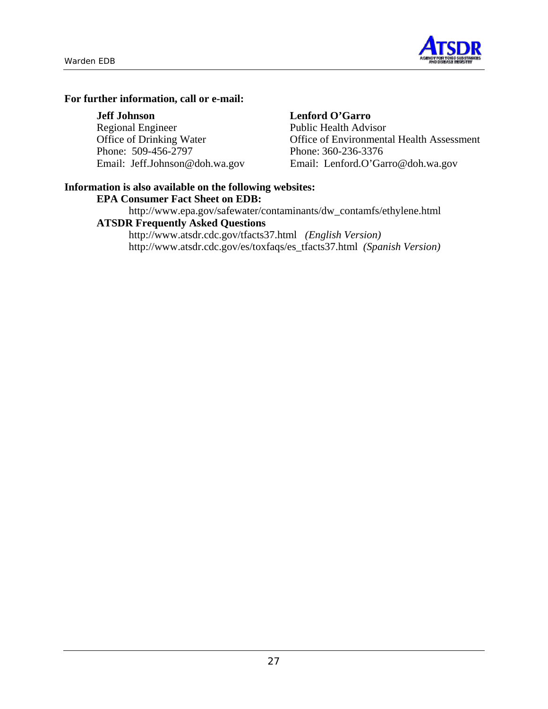

### **For further information, call or e-mail:**

| <b>Jeff Johnson</b>            | Lenford O'Garro                           |
|--------------------------------|-------------------------------------------|
| <b>Regional Engineer</b>       | <b>Public Health Advisor</b>              |
| Office of Drinking Water       | Office of Environmental Health Assessment |
| Phone: 509-456-2797            | Phone: 360-236-3376                       |
| Email: Jeff.Johnson@doh.wa.gov | Email: Lenford.O'Garro@doh.wa.gov         |

#### **Information is also available on the following websites:**

#### **EPA Consumer Fact Sheet on EDB:**

http://www.epa.gov/safewater/contaminants/dw\_contamfs/ethylene.html

## **ATSDR Frequently Asked Questions**

http://www.atsdr.cdc.gov/tfacts37.html *(English Version)* http://www.atsdr.cdc.gov/es/toxfaqs/es\_tfacts37.html *(Spanish Version)*